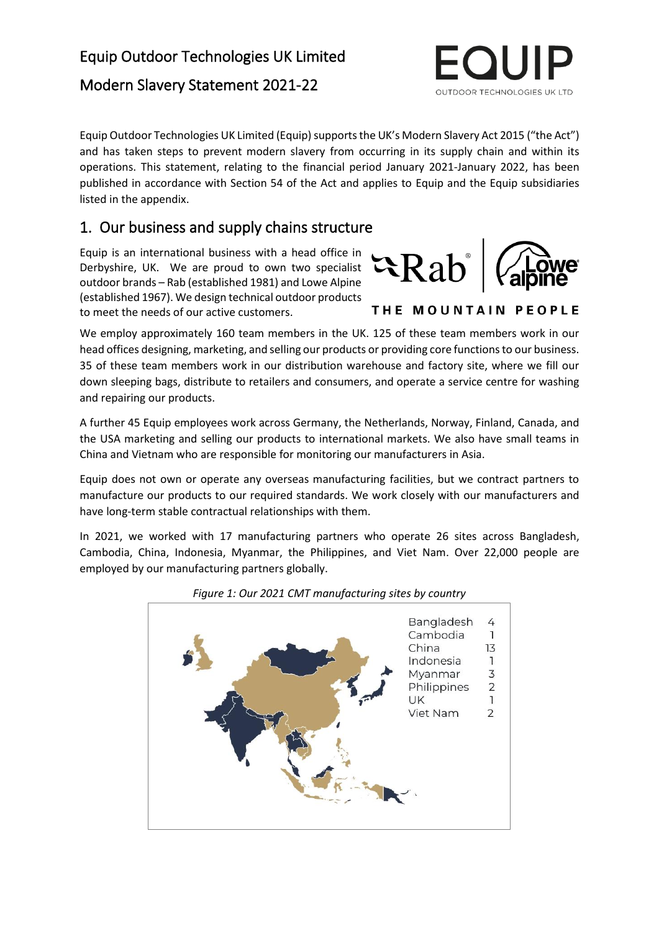# Modern Slavery Statement 2021-22

Equip Outdoor Technologies UK Limited (Equip) supports the UK's Modern Slavery Act 2015 ("the Act") and has taken steps to prevent modern slavery from occurring in its supply chain and within its operations. This statement, relating to the financial period January 2021-January 2022, has been published in accordance with Section 54 of the Act and applies to Equip and the Equip subsidiaries listed in the appendix.

# 1. Our business and supply chains structure

Equip is an international business with a head office in Derbyshire, UK. We are proud to own two specialist outdoor brands – Rab (established 1981) and Lowe Alpine (established 1967). We design technical outdoor products to meet the needs of our active customers.

We employ approximately 160 team members in the UK. 125 of these team members work in our head offices designing, marketing, and selling our products or providing core functions to our business. 35 of these team members work in our distribution warehouse and factory site, where we fill our down sleeping bags, distribute to retailers and consumers, and operate a service centre for washing and repairing our products.

A further 45 Equip employees work across Germany, the Netherlands, Norway, Finland, Canada, and the USA marketing and selling our products to international markets. We also have small teams in China and Vietnam who are responsible for monitoring our manufacturers in Asia.

Equip does not own or operate any overseas manufacturing facilities, but we contract partners to manufacture our products to our required standards. We work closely with our manufacturers and have long-term stable contractual relationships with them.

In 2021, we worked with 17 manufacturing partners who operate 26 sites across Bangladesh, Cambodia, China, Indonesia, Myanmar, the Philippines, and Viet Nam. Over 22,000 people are employed by our manufacturing partners globally.



### *Figure 1: Our 2021 CMT manufacturing sites by country*





THE MOUNTAIN PEOPLE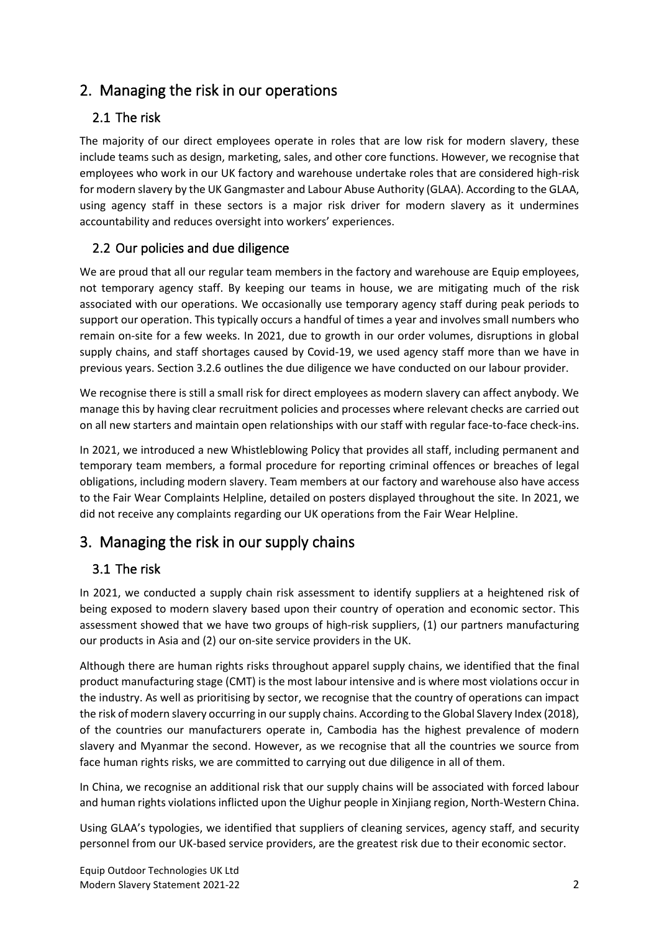# 2. Managing the risk in our operations

# 2.1 The risk

The majority of our direct employees operate in roles that are low risk for modern slavery, these include teams such as design, marketing, sales, and other core functions. However, we recognise that employees who work in our UK factory and warehouse undertake roles that are considered high-risk for modern slavery by the UK Gangmaster and Labour Abuse Authority (GLAA). According to the GLAA, using agency staff in these sectors is a major risk driver for modern slavery as it undermines accountability and reduces oversight into workers' experiences.

# 2.2 Our policies and due diligence

We are proud that all our regular team members in the factory and warehouse are Equip employees, not temporary agency staff. By keeping our teams in house, we are mitigating much of the risk associated with our operations. We occasionally use temporary agency staff during peak periods to support our operation. This typically occurs a handful of times a year and involves small numbers who remain on-site for a few weeks. In 2021, due to growth in our order volumes, disruptions in global supply chains, and staff shortages caused by Covid-19, we used agency staff more than we have in previous years. Section 3.2.6 outlines the due diligence we have conducted on our labour provider.

We recognise there is still a small risk for direct employees as modern slavery can affect anybody. We manage this by having clear recruitment policies and processes where relevant checks are carried out on all new starters and maintain open relationships with our staff with regular face-to-face check-ins.

In 2021, we introduced a new Whistleblowing Policy that provides all staff, including permanent and temporary team members, a formal procedure for reporting criminal offences or breaches of legal obligations, including modern slavery. Team members at our factory and warehouse also have access to the Fair Wear Complaints Helpline, detailed on posters displayed throughout the site. In 2021, we did not receive any complaints regarding our UK operations from the Fair Wear Helpline.

# 3. Managing the risk in our supply chains

# 3.1 The risk

In 2021, we conducted a supply chain risk assessment to identify suppliers at a heightened risk of being exposed to modern slavery based upon their country of operation and economic sector. This assessment showed that we have two groups of high-risk suppliers, (1) our partners manufacturing our products in Asia and (2) our on-site service providers in the UK.

Although there are human rights risks throughout apparel supply chains, we identified that the final product manufacturing stage (CMT) is the most labour intensive and is where most violations occur in the industry. As well as prioritising by sector, we recognise that the country of operations can impact the risk of modern slavery occurring in our supply chains. According to the Global Slavery Index (2018), of the countries our manufacturers operate in, Cambodia has the highest prevalence of modern slavery and Myanmar the second. However, as we recognise that all the countries we source from face human rights risks, we are committed to carrying out due diligence in all of them.

In China, we recognise an additional risk that our supply chains will be associated with forced labour and human rights violations inflicted upon the Uighur people in Xinjiang region, North-Western China.

Using GLAA's typologies, we identified that suppliers of cleaning services, agency staff, and security personnel from our UK-based service providers, are the greatest risk due to their economic sector.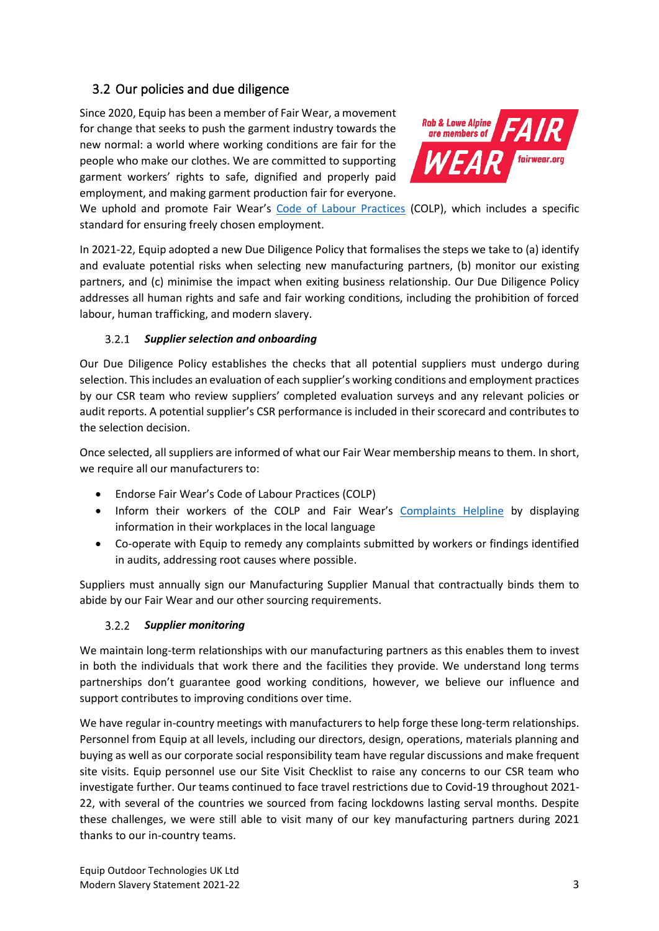## 3.2 Our policies and due diligence

Since 2020, Equip has been a member of Fair Wear, a movement for change that seeks to push the garment industry towards the new normal: a world where working conditions are fair for the people who make our clothes. We are committed to supporting garment workers' rights to safe, dignified and properly paid employment, and making garment production fair for everyone.



We uphold and promote Fair Wear's [Code of Labour Practices](https://www.fairwear.org/about-us/labour-standards) (COLP), which includes a specific standard for ensuring freely chosen employment.

In 2021-22, Equip adopted a new Due Diligence Policy that formalises the steps we take to (a) identify and evaluate potential risks when selecting new manufacturing partners, (b) monitor our existing partners, and (c) minimise the impact when exiting business relationship. Our Due Diligence Policy addresses all human rights and safe and fair working conditions, including the prohibition of forced labour, human trafficking, and modern slavery.

### *Supplier selection and onboarding*

Our Due Diligence Policy establishes the checks that all potential suppliers must undergo during selection. This includes an evaluation of each supplier's working conditions and employment practices by our CSR team who review suppliers' completed evaluation surveys and any relevant policies or audit reports. A potential supplier's CSR performance is included in their scorecard and contributes to the selection decision.

Once selected, all suppliers are informed of what our Fair Wear membership means to them. In short, we require all our manufacturers to:

- Endorse Fair Wear's Code of Labour Practices (COLP)
- Inform their workers of the COLP and Fair Wear's [Complaints Helpline](https://www.fairwear.org/programmes/complaints) by displaying information in their workplaces in the local language
- Co-operate with Equip to remedy any complaints submitted by workers or findings identified in audits, addressing root causes where possible.

Suppliers must annually sign our Manufacturing Supplier Manual that contractually binds them to abide by our Fair Wear and our other sourcing requirements.

### *Supplier monitoring*

We maintain long-term relationships with our manufacturing partners as this enables them to invest in both the individuals that work there and the facilities they provide. We understand long terms partnerships don't guarantee good working conditions, however, we believe our influence and support contributes to improving conditions over time.

We have regular in-country meetings with manufacturers to help forge these long-term relationships. Personnel from Equip at all levels, including our directors, design, operations, materials planning and buying as well as our corporate social responsibility team have regular discussions and make frequent site visits. Equip personnel use our Site Visit Checklist to raise any concerns to our CSR team who investigate further. Our teams continued to face travel restrictions due to Covid-19 throughout 2021- 22, with several of the countries we sourced from facing lockdowns lasting serval months. Despite these challenges, we were still able to visit many of our key manufacturing partners during 2021 thanks to our in-country teams.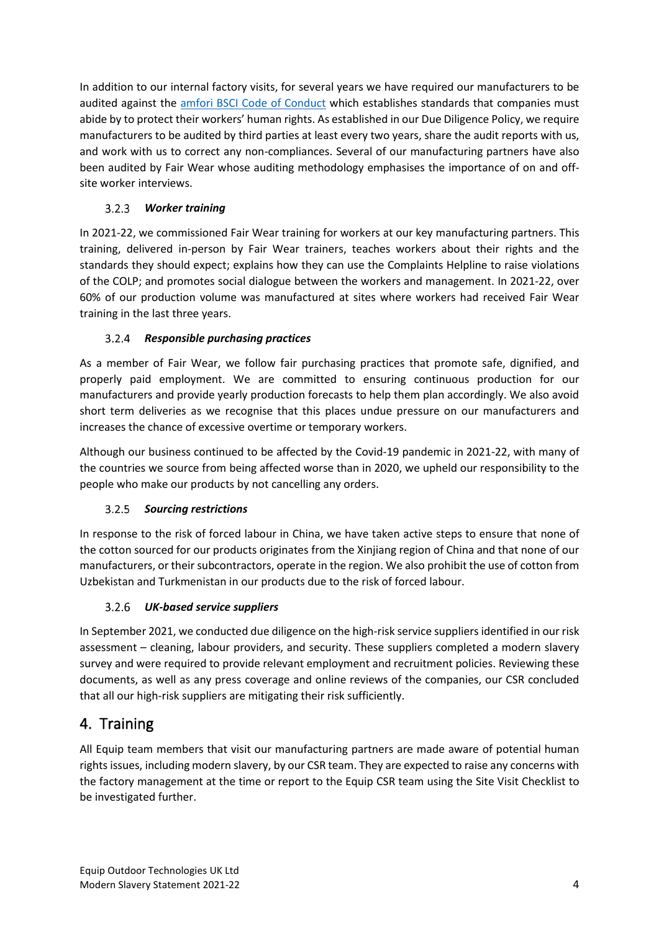In addition to our internal factory visits, for several years we have required our manufacturers to be audited against the [amfori BSCI Code of Conduct](https://www.amfori.org/content/amfori-bsci) which establishes standards that companies must abide by to protect their workers' human rights. As established in our Due Diligence Policy, we require manufacturers to be audited by third parties at least every two years, share the audit reports with us, and work with us to correct any non-compliances. Several of our manufacturing partners have also been audited by Fair Wear whose auditing methodology emphasises the importance of on and offsite worker interviews.

#### $3.2.3$ *Worker training*

In 2021-22, we commissioned Fair Wear training for workers at our key manufacturing partners. This training, delivered in-person by Fair Wear trainers, teaches workers about their rights and the standards they should expect; explains how they can use the Complaints Helpline to raise violations of the COLP; and promotes social dialogue between the workers and management. In 2021-22, over 60% of our production volume was manufactured at sites where workers had received Fair Wear training in the last three years.

### *Responsible purchasing practices*

As a member of Fair Wear, we follow fair purchasing practices that promote safe, dignified, and properly paid employment. We are committed to ensuring continuous production for our manufacturers and provide yearly production forecasts to help them plan accordingly. We also avoid short term deliveries as we recognise that this places undue pressure on our manufacturers and increases the chance of excessive overtime or temporary workers.

Although our business continued to be affected by the Covid-19 pandemic in 2021-22, with many of the countries we source from being affected worse than in 2020, we upheld our responsibility to the people who make our products by not cancelling any orders.

### *Sourcing restrictions*

In response to the risk of forced labour in China, we have taken active steps to ensure that none of the cotton sourced for our products originates from the Xinjiang region of China and that none of our manufacturers, or their subcontractors, operate in the region. We also prohibit the use of cotton from Uzbekistan and Turkmenistan in our products due to the risk of forced labour.

### *UK-based service suppliers*

In September 2021, we conducted due diligence on the high-risk service suppliers identified in our risk assessment – cleaning, labour providers, and security. These suppliers completed a modern slavery survey and were required to provide relevant employment and recruitment policies. Reviewing these documents, as well as any press coverage and online reviews of the companies, our CSR concluded that all our high-risk suppliers are mitigating their risk sufficiently.

# 4. Training

All Equip team members that visit our manufacturing partners are made aware of potential human rights issues, including modern slavery, by our CSR team. They are expected to raise any concerns with the factory management at the time or report to the Equip CSR team using the Site Visit Checklist to be investigated further.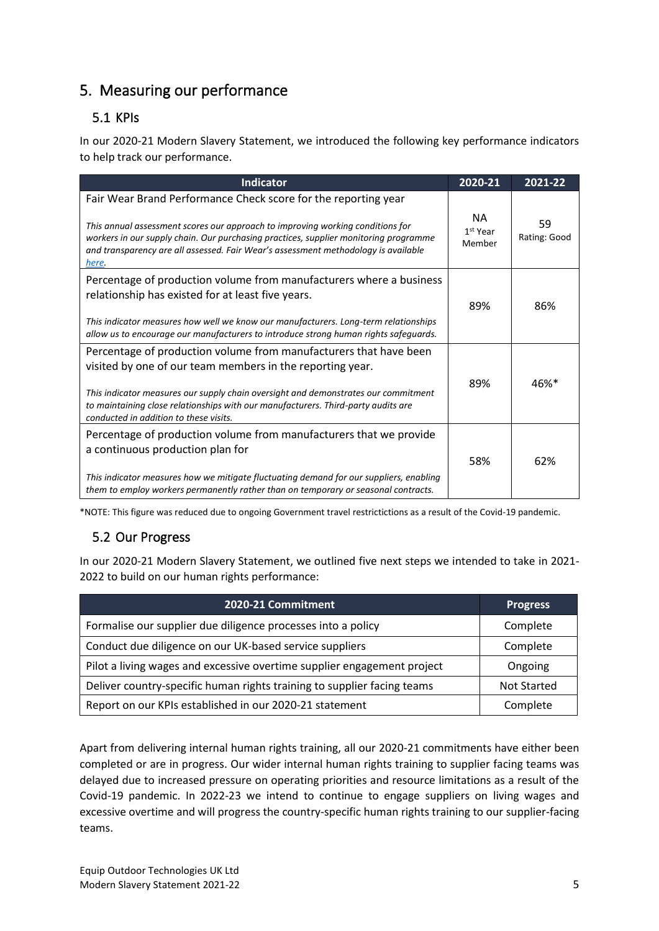# 5. Measuring our performance

## 5.1 KPIs

In our 2020-21 Modern Slavery Statement, we introduced the following key performance indicators to help track our performance.

| <b>Indicator</b>                                                                                                                                                                                                                                                                                                                                    | 2020-21                               | 2021-22            |
|-----------------------------------------------------------------------------------------------------------------------------------------------------------------------------------------------------------------------------------------------------------------------------------------------------------------------------------------------------|---------------------------------------|--------------------|
| Fair Wear Brand Performance Check score for the reporting year<br>This annual assessment scores our approach to improving working conditions for<br>workers in our supply chain. Our purchasing practices, supplier monitoring programme<br>and transparency are all assessed. Fair Wear's assessment methodology is available<br>here.             | NA.<br>1 <sup>st</sup> Year<br>Member | 59<br>Rating: Good |
| Percentage of production volume from manufacturers where a business<br>relationship has existed for at least five years.<br>This indicator measures how well we know our manufacturers. Long-term relationships<br>allow us to encourage our manufacturers to introduce strong human rights safeguards.                                             | 89%                                   | 86%                |
| Percentage of production volume from manufacturers that have been<br>visited by one of our team members in the reporting year.<br>This indicator measures our supply chain oversight and demonstrates our commitment<br>to maintaining close relationships with our manufacturers. Third-party audits are<br>conducted in addition to these visits. | 89%                                   | 46%*               |
| Percentage of production volume from manufacturers that we provide<br>a continuous production plan for<br>This indicator measures how we mitigate fluctuating demand for our suppliers, enabling<br>them to employ workers permanently rather than on temporary or seasonal contracts.                                                              | 58%                                   | 62%                |

\*NOTE: This figure was reduced due to ongoing Government travel restrictictions as a result of the Covid-19 pandemic.

## 5.2 Our Progress

In our 2020-21 Modern Slavery Statement, we outlined five next steps we intended to take in 2021- 2022 to build on our human rights performance:

| 2020-21 Commitment                                                      | <b>Progress</b>    |
|-------------------------------------------------------------------------|--------------------|
| Formalise our supplier due diligence processes into a policy            | Complete           |
| Conduct due diligence on our UK-based service suppliers                 | Complete           |
| Pilot a living wages and excessive overtime supplier engagement project | Ongoing            |
| Deliver country-specific human rights training to supplier facing teams | <b>Not Started</b> |
| Report on our KPIs established in our 2020-21 statement                 | Complete           |

Apart from delivering internal human rights training, all our 2020-21 commitments have either been completed or are in progress. Our wider internal human rights training to supplier facing teams was delayed due to increased pressure on operating priorities and resource limitations as a result of the Covid-19 pandemic. In 2022-23 we intend to continue to engage suppliers on living wages and excessive overtime and will progress the country-specific human rights training to our supplier-facing teams.